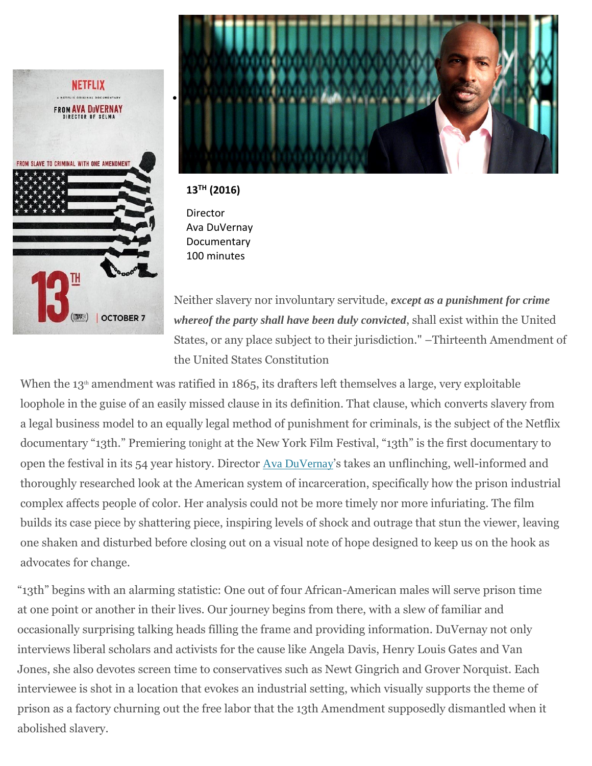



**13TH (2016)**

Director Ava DuVernay **Documentary** 100 minutes

Neither slavery nor involuntary servitude, *except as a punishment for crime whereof the party shall have been duly convicted*, shall exist within the United States, or any place subject to their jurisdiction." –Thirteenth Amendment of the United States Constitution

When the  $13<sup>th</sup>$  amendment was ratified in 1865, its drafters left themselves a large, very exploitable loophole in the guise of an easily missed clause in its definition. That clause, which converts slavery from a legal business model to an equally legal method of punishment for criminals, is the subject of the Netflix documentary "13th." Premiering tonight at the New York Film Festival, "13th" is the first documentary to open the festival in its 54 year history. Director Ava [DuVernay](https://www.rogerebert.com/cast-and-crew/ava-duvernay)'s takes an unflinching, well-informed and thoroughly researched look at the American system of incarceration, specifically how the prison industrial complex affects people of color. Her analysis could not be more timely nor more infuriating. The film builds its case piece by shattering piece, inspiring levels of shock and outrage that stun the viewer, leaving one shaken and disturbed before closing out on a visual note of hope designed to keep us on the hook as advocates for change.

"13th" begins with an alarming statistic: One out of four African-American males will serve prison time at one point or another in their lives. Our journey begins from there, with a slew of familiar and occasionally surprising talking heads filling the frame and providing information. DuVernay not only interviews liberal scholars and activists for the cause like Angela Davis, Henry Louis Gates and Van Jones, she also devotes screen time to conservatives such as Newt Gingrich and Grover Norquist. Each interviewee is shot in a location that evokes an industrial setting, which visually supports the theme of prison as a factory churning out the free labor that the 13th Amendment supposedly dismantled when it abolished slavery.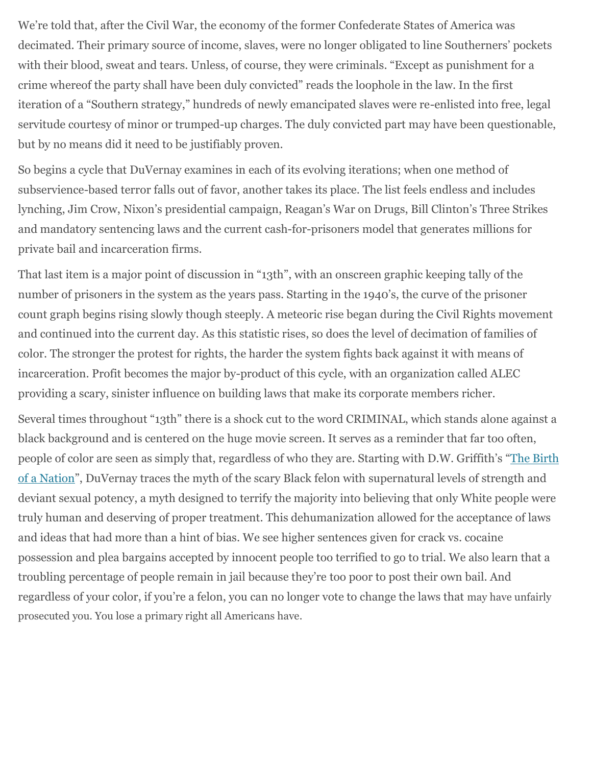We're told that, after the Civil War, the economy of the former Confederate States of America was decimated. Their primary source of income, slaves, were no longer obligated to line Southerners' pockets with their blood, sweat and tears. Unless, of course, they were criminals. "Except as punishment for a crime whereof the party shall have been duly convicted" reads the loophole in the law. In the first iteration of a "Southern strategy," hundreds of newly emancipated slaves were re-enlisted into free, legal servitude courtesy of minor or trumped-up charges. The duly convicted part may have been questionable, but by no means did it need to be justifiably proven.

So begins a cycle that DuVernay examines in each of its evolving iterations; when one method of subservience-based terror falls out of favor, another takes its place. The list feels endless and includes lynching, Jim Crow, Nixon's presidential campaign, Reagan's War on Drugs, Bill Clinton's Three Strikes and mandatory sentencing laws and the current cash-for-prisoners model that generates millions for private bail and incarceration firms.

That last item is a major point of discussion in "13th", with an onscreen graphic keeping tally of the number of prisoners in the system as the years pass. Starting in the 1940's, the curve of the prisoner count graph begins rising slowly though steeply. A meteoric rise began during the Civil Rights movement and continued into the current day. As this statistic rises, so does the level of decimation of families of color. The stronger the protest for rights, the harder the system fights back against it with means of incarceration. Profit becomes the major by-product of this cycle, with an organization called ALEC providing a scary, sinister influence on building laws that make its corporate members richer.

Several times throughout "13th" there is a shock cut to the word CRIMINAL, which stands alone against a black background and is centered on the huge movie screen. It serves as a reminder that far too often, people of color are seen as simply that, regardless of who they are. Starting with D.W. Griffith's "The [Birth](https://www.rogerebert.com/reviews/great-movie-the-birth-of-a-nation-1915) of a [Nation](https://www.rogerebert.com/reviews/great-movie-the-birth-of-a-nation-1915)", DuVernay traces the myth of the scary Black felon with supernatural levels of strength and deviant sexual potency, a myth designed to terrify the majority into believing that only White people were truly human and deserving of proper treatment. This dehumanization allowed for the acceptance of laws and ideas that had more than a hint of bias. We see higher sentences given for crack vs. cocaine possession and plea bargains accepted by innocent people too terrified to go to trial. We also learn that a troubling percentage of people remain in jail because they're too poor to post their own bail. And regardless of your color, if you're a felon, you can no longer vote to change the laws that may have unfairly prosecuted you. You lose a primary right all Americans have.